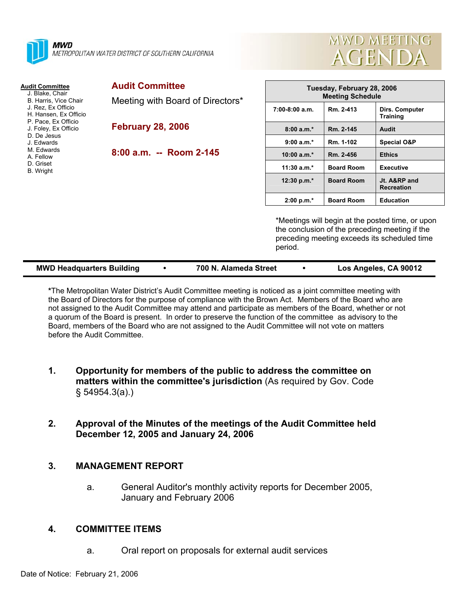



**Training**

**Recreation** 

#### **Audit Committee** J. Blake, Chair B. Harris, Vice Chair J. Rez, Ex Officio H. Hansen, Ex Officio P. Pace, Ex Officio J. Foley, Ex Officio D. De Jesus J. Edwards M. Edwards A. Fellow D. Griset B. Wright **Audit Committee**  Meeting with Board of Directors\* **February 28, 2006 8:00 a.m. -- Room 2-145 Tuesday, February 28, 2006 Meeting Schedule 7:00-8:00 a.m. Rm. 2-413 Dirs. Computer 8:00 a.m.\* Rm. 2-145 Audit 9:00 a.m.\* Rm. 1-102 Special O&P 10:00 a.m.\* Rm. 2-456 Ethics 11:30 a.m.\* Board Room Executive 12:30 p.m.\* Board Room Jt. A&RP and 2:00 p.m.\* Board Room Education**

\*Meetings will begin at the posted time, or upon the conclusion of the preceding meeting if the preceding meeting exceeds its scheduled time period.

| <b>MWD Headquarters Building</b> |  | 700 N. Alameda Street |  | Los Angeles, CA 90012 |
|----------------------------------|--|-----------------------|--|-----------------------|
|----------------------------------|--|-----------------------|--|-----------------------|

**\***The Metropolitan Water District's Audit Committee meeting is noticed as a joint committee meeting with the Board of Directors for the purpose of compliance with the Brown Act. Members of the Board who are not assigned to the Audit Committee may attend and participate as members of the Board, whether or not a quorum of the Board is present. In order to preserve the function of the committee as advisory to the Board, members of the Board who are not assigned to the Audit Committee will not vote on matters before the Audit Committee.

- **1. Opportunity for members of the public to address the committee on matters within the committee's jurisdiction** (As required by Gov. Code § 54954.3(a).)
- **2. Approval of the Minutes of the meetings of the Audit Committee held December 12, 2005 and January 24, 2006**

## **3. MANAGEMENT REPORT**

a. General Auditor's monthly activity reports for December 2005, January and February 2006

## **4. COMMITTEE ITEMS**

a. Oral report on proposals for external audit services